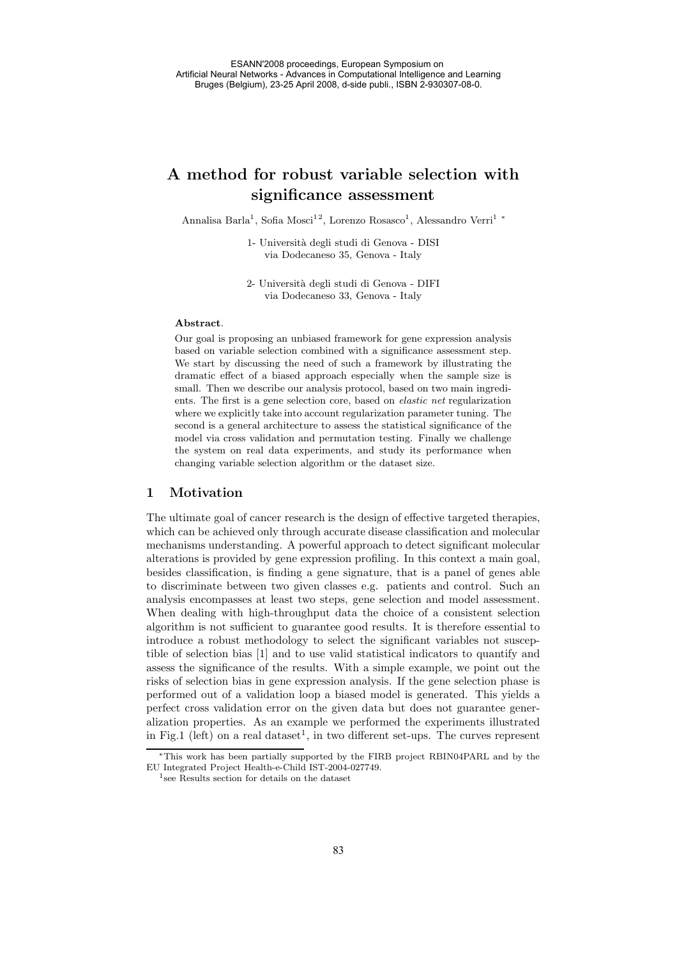# **A method for robust variable selection with significance assessment**

Annalisa Barla<sup>1</sup>, Sofia Mosci $^{12}$ , Lorenzo Rosasco $^{1}$ , Alessandro Verri $^{1\ *}$ 

1- Universit`a degli studi di Genova - DISI via Dodecaneso 35, Genova - Italy

2- Universit`a degli studi di Genova - DIFI via Dodecaneso 33, Genova - Italy

## **Abstract**.

Our goal is proposing an unbiased framework for gene expression analysis based on variable selection combined with a significance assessment step. We start by discussing the need of such a framework by illustrating the dramatic effect of a biased approach especially when the sample size is small. Then we describe our analysis protocol, based on two main ingredients. The first is a gene selection core, based on *elastic net* regularization where we explicitly take into account regularization parameter tuning. The second is a general architecture to assess the statistical significance of the model via cross validation and permutation testing. Finally we challenge the system on real data experiments, and study its performance when changing variable selection algorithm or the dataset size.

## **1 Motivation**

The ultimate goal of cancer research is the design of effective targeted therapies, which can be achieved only through accurate disease classification and molecular mechanisms understanding. A powerful approach to detect significant molecular alterations is provided by gene expression profiling. In this context a main goal, besides classification, is finding a gene signature, that is a panel of genes able to discriminate between two given classes e.g. patients and control. Such an analysis encompasses at least two steps, gene selection and model assessment. When dealing with high-throughput data the choice of a consistent selection algorithm is not sufficient to guarantee good results. It is therefore essential to introduce a robust methodology to select the significant variables not susceptible of selection bias [1] and to use valid statistical indicators to quantify and assess the significance of the results. With a simple example, we point out the risks of selection bias in gene expression analysis. If the gene selection phase is performed out of a validation loop a biased model is generated. This yields a perfect cross validation error on the given data but does not guarantee generalization properties. As an example we performed the experiments illustrated in Fig.1 (left) on a real dataset<sup>1</sup>, in two different set-ups. The curves represent

<sup>∗</sup>This work has been partially supported by the FIRB project RBIN04PARL and by the EU Integrated Project Health-e-Child IST-2004-027749.

<sup>1</sup>see Results section for details on the dataset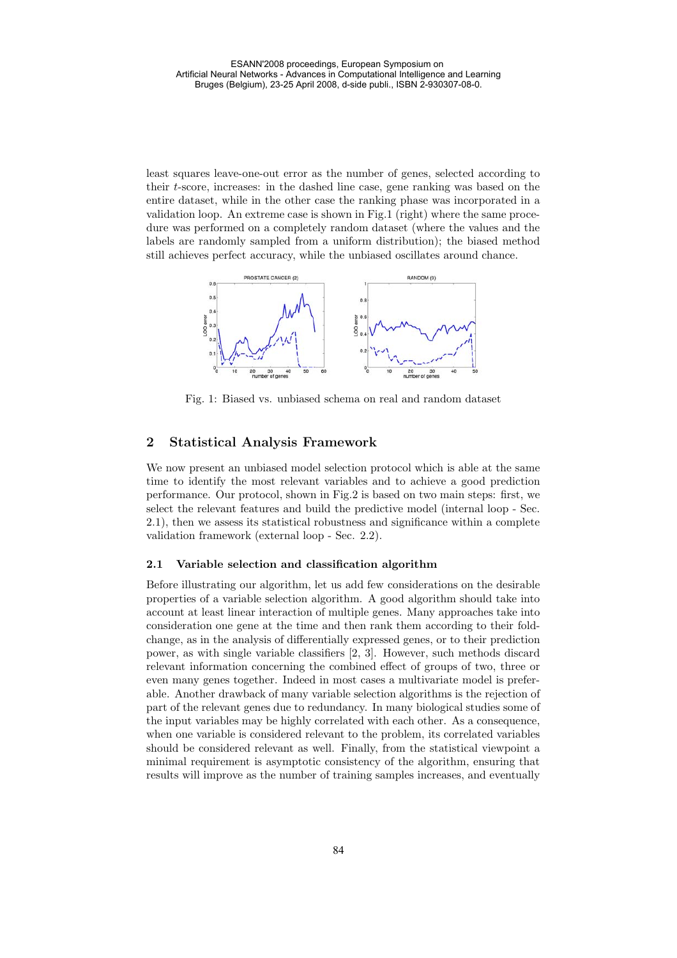least squares leave-one-out error as the number of genes, selected according to their t-score, increases: in the dashed line case, gene ranking was based on the entire dataset, while in the other case the ranking phase was incorporated in a validation loop. An extreme case is shown in Fig.1 (right) where the same procedure was performed on a completely random dataset (where the values and the labels are randomly sampled from a uniform distribution); the biased method still achieves perfect accuracy, while the unbiased oscillates around chance.



Fig. 1: Biased vs. unbiased schema on real and random dataset

# **2 Statistical Analysis Framework**

We now present an unbiased model selection protocol which is able at the same time to identify the most relevant variables and to achieve a good prediction performance. Our protocol, shown in Fig.2 is based on two main steps: first, we select the relevant features and build the predictive model (internal loop - Sec. 2.1), then we assess its statistical robustness and significance within a complete validation framework (external loop - Sec. 2.2).

#### **2.1 Variable selection and classification algorithm**

Before illustrating our algorithm, let us add few considerations on the desirable properties of a variable selection algorithm. A good algorithm should take into account at least linear interaction of multiple genes. Many approaches take into consideration one gene at the time and then rank them according to their foldchange, as in the analysis of differentially expressed genes, or to their prediction power, as with single variable classifiers [2, 3]. However, such methods discard relevant information concerning the combined effect of groups of two, three or even many genes together. Indeed in most cases a multivariate model is preferable. Another drawback of many variable selection algorithms is the rejection of part of the relevant genes due to redundancy. In many biological studies some of the input variables may be highly correlated with each other. As a consequence, when one variable is considered relevant to the problem, its correlated variables should be considered relevant as well. Finally, from the statistical viewpoint a minimal requirement is asymptotic consistency of the algorithm, ensuring that results will improve as the number of training samples increases, and eventually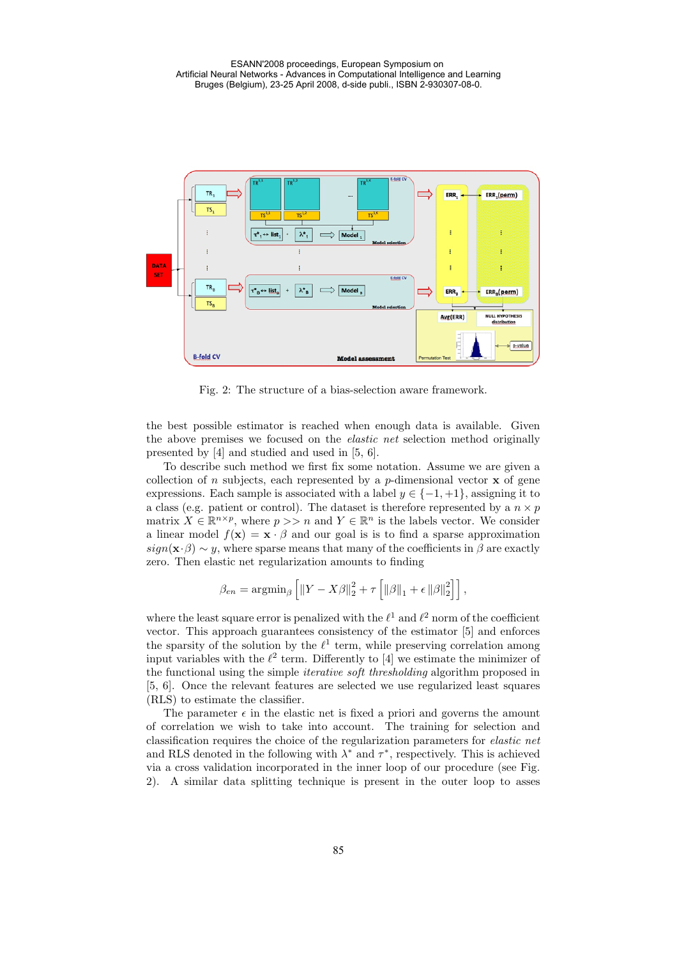

Fig. 2: The structure of a bias-selection aware framework.

the best possible estimator is reached when enough data is available. Given the above premises we focused on the *elastic net* selection method originally presented by [4] and studied and used in [5, 6].

To describe such method we first fix some notation. Assume we are given a collection of n subjects, each represented by a  $p$ -dimensional vector **x** of gene expressions. Each sample is associated with a label  $y \in \{-1, +1\}$ , assigning it to a class (e.g. patient or control). The dataset is therefore represented by a  $n \times p$ matrix  $X \in \mathbb{R}^{n \times p}$ , where  $p >> n$  and  $Y \in \mathbb{R}^n$  is the labels vector. We consider a linear model  $f(\mathbf{x}) = \mathbf{x} \cdot \beta$  and our goal is is to find a sparse approximation  $sign(\mathbf{x} \cdot \beta) \sim y$ , where sparse means that many of the coefficients in  $\beta$  are exactly zero. Then elastic net regularization amounts to finding

$$
\beta_{en} = \operatorname{argmin}_{\beta} \left[ \left\| Y - X\beta \right\|_2^2 + \tau \left[ \left\| \beta \right\|_1 + \epsilon \left\| \beta \right\|_2^2 \right] \right],
$$

where the least square error is penalized with the  $\ell^1$  and  $\ell^2$  norm of the coefficient vector. This approach guarantees consistency of the estimator [5] and enforces the sparsity of the solution by the  $\ell^1$  term, while preserving correlation among input variables with the  $\ell^2$  term. Differently to [4] we estimate the minimizer of the functional using the simple *iterative soft thresholding* algorithm proposed in [5, 6]. Once the relevant features are selected we use regularized least squares (RLS) to estimate the classifier.

The parameter  $\epsilon$  in the elastic net is fixed a priori and governs the amount of correlation we wish to take into account. The training for selection and classification requires the choice of the regularization parameters for *elastic net* and RLS denoted in the following with  $\lambda^*$  and  $\tau^*$ , respectively. This is achieved via a cross validation incorporated in the inner loop of our procedure (see Fig. 2). A similar data splitting technique is present in the outer loop to asses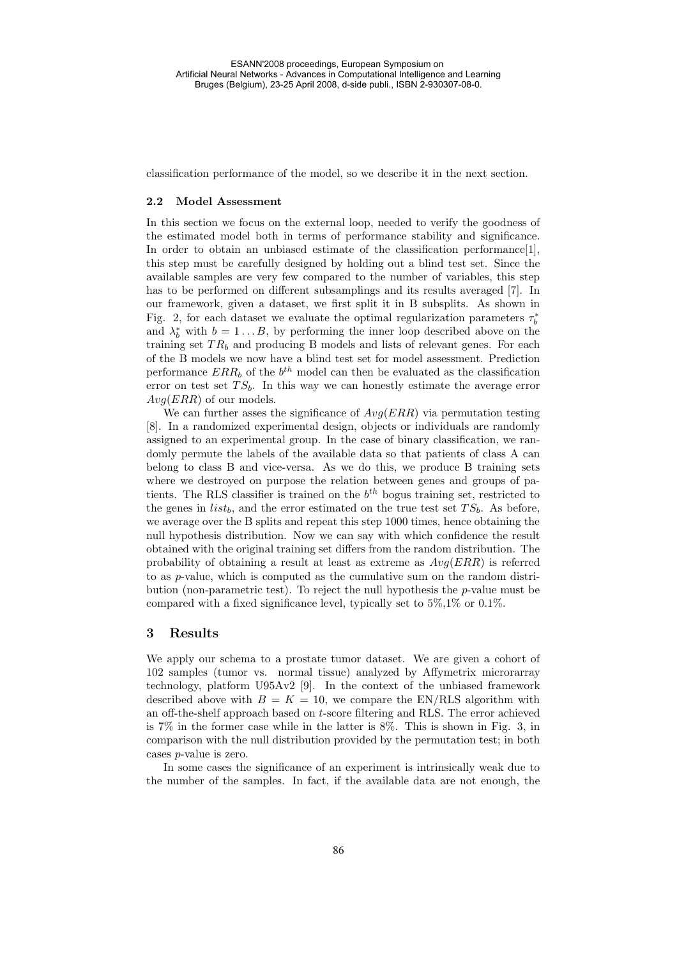classification performance of the model, so we describe it in the next section.

#### **2.2 Model Assessment**

In this section we focus on the external loop, needed to verify the goodness of the estimated model both in terms of performance stability and significance. In order to obtain an unbiased estimate of the classification performance[1], this step must be carefully designed by holding out a blind test set. Since the available samples are very few compared to the number of variables, this step has to be performed on different subsamplings and its results averaged [7]. In our framework, given a dataset, we first split it in B subsplits. As shown in Fig. 2, for each dataset we evaluate the optimal regularization parameters  $\tau_b^*$ <br>and  $\lambda^*$  with  $b-1$  B by performing the inner loop described above on the and  $\lambda_b^*$  with  $b = 1...B$ , by performing the inner loop described above on the training set  $TR$ , and producing B models and lists of relevant genes. For each training set  $TR_b$  and producing B models and lists of relevant genes. For each of the B models we now have a blind test set for model assessment. Prediction performance  $ERR_b$  of the  $b^{th}$  model can then be evaluated as the classification error on test set  $TS_b$ . In this way we can honestly estimate the average error  $Avq(ERR)$  of our models.

We can further asses the significance of  $Avq(ERR)$  via permutation testing [8]. In a randomized experimental design, objects or individuals are randomly assigned to an experimental group. In the case of binary classification, we randomly permute the labels of the available data so that patients of class A can belong to class B and vice-versa. As we do this, we produce B training sets where we destroyed on purpose the relation between genes and groups of patients. The RLS classifier is trained on the  $b<sup>th</sup>$  bogus training set, restricted to the genes in  $list_b$ , and the error estimated on the true test set  $TS_b$ . As before, we average over the B splits and repeat this step 1000 times, hence obtaining the null hypothesis distribution. Now we can say with which confidence the result obtained with the original training set differs from the random distribution. The probability of obtaining a result at least as extreme as  $Avg(ERR)$  is referred to as p-value, which is computed as the cumulative sum on the random distribution (non-parametric test). To reject the null hypothesis the  $p$ -value must be compared with a fixed significance level, typically set to 5%,1% or 0.1%.

#### **3 Results**

We apply our schema to a prostate tumor dataset. We are given a cohort of 102 samples (tumor vs. normal tissue) analyzed by Affymetrix microrarray technology, platform U95Av2 [9]. In the context of the unbiased framework described above with  $B = K = 10$ , we compare the EN/RLS algorithm with an off-the-shelf approach based on t-score filtering and RLS. The error achieved is 7% in the former case while in the latter is 8%. This is shown in Fig. 3, in comparison with the null distribution provided by the permutation test; in both cases p-value is zero.

In some cases the significance of an experiment is intrinsically weak due to the number of the samples. In fact, if the available data are not enough, the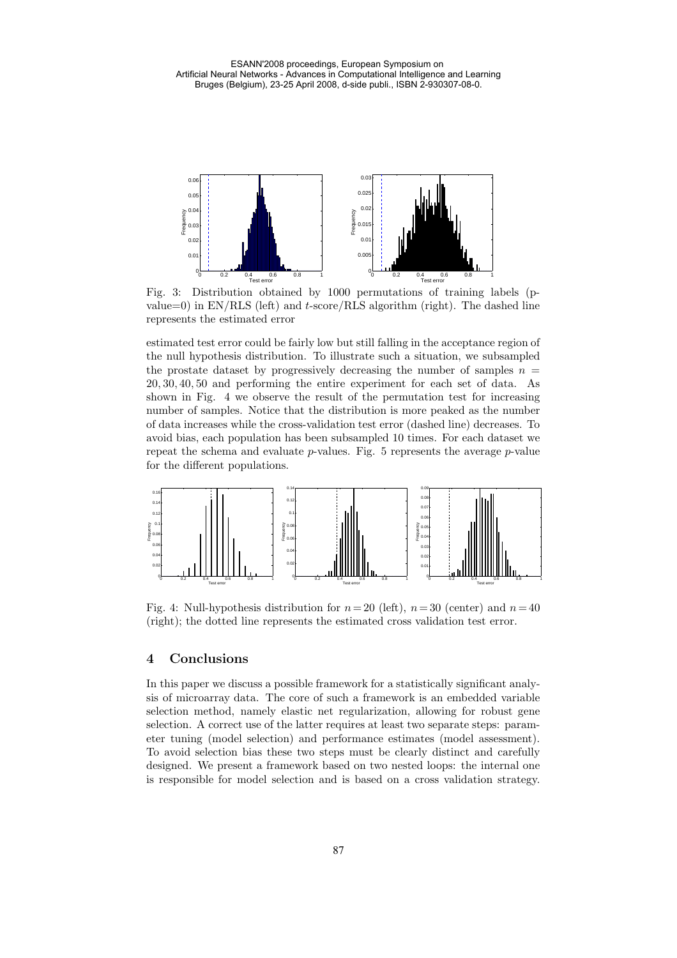

Fig. 3: Distribution obtained by 1000 permutations of training labels (pvalue=0) in  $EN/RLS$  (left) and t-score/RLS algorithm (right). The dashed line represents the estimated error

estimated test error could be fairly low but still falling in the acceptance region of the null hypothesis distribution. To illustrate such a situation, we subsampled the prostate dataset by progressively decreasing the number of samples  $n =$ <sup>20</sup>, <sup>30</sup>, <sup>40</sup>, 50 and performing the entire experiment for each set of data. As shown in Fig. 4 we observe the result of the permutation test for increasing number of samples. Notice that the distribution is more peaked as the number of data increases while the cross-validation test error (dashed line) decreases. To avoid bias, each population has been subsampled 10 times. For each dataset we repeat the schema and evaluate  $p$ -values. Fig. 5 represents the average  $p$ -value for the different populations.



Fig. 4: Null-hypothesis distribution for  $n=20$  (left),  $n=30$  (center) and  $n=40$ (right); the dotted line represents the estimated cross validation test error.

# **4 Conclusions**

In this paper we discuss a possible framework for a statistically significant analysis of microarray data. The core of such a framework is an embedded variable selection method, namely elastic net regularization, allowing for robust gene selection. A correct use of the latter requires at least two separate steps: parameter tuning (model selection) and performance estimates (model assessment). To avoid selection bias these two steps must be clearly distinct and carefully designed. We present a framework based on two nested loops: the internal one is responsible for model selection and is based on a cross validation strategy.